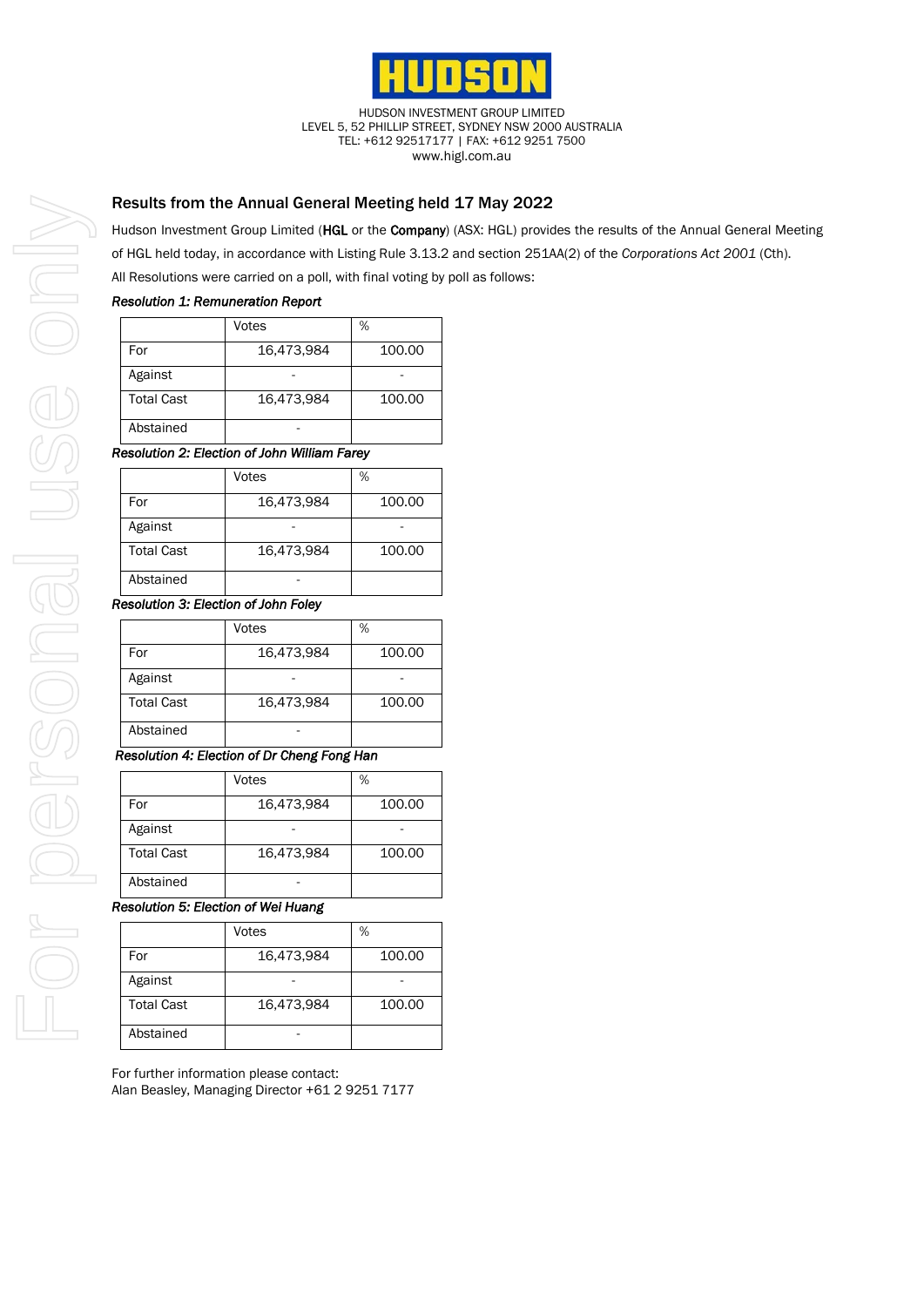

HUDSON INVESTMENT GROUP LIMITED LEVEL 5, 52 PHILLIP STREET, SYDNEY NSW 2000 AUSTRALIA TEL: +612 92517177 | FAX: +612 9251 7500 www.higl.com.au

# Results from the Annual General Meeting held 17 May 2022

Hudson Investment Group Limited (HGL or the Company) (ASX: HGL) provides the results of the Annual General Meeting of HGL held today, in accordance with Listing Rule 3.13.2 and section 251AA(2) of the *Corporations Act 2001* (Cth). All Resolutions were carried on a poll, with final voting by poll as follows:

## *Resolution 1: Remuneration Report*

|                   | Votes      | %      |
|-------------------|------------|--------|
| For               | 16,473,984 | 100.00 |
| Against           |            |        |
| <b>Total Cast</b> | 16,473,984 | 100.00 |
| Abstained         |            |        |

## *Resolution 2: Election of John William Farey*

|                   | Votes      | %      |
|-------------------|------------|--------|
| For               | 16,473,984 | 100.00 |
| Against           |            |        |
| <b>Total Cast</b> | 16,473,984 | 100.00 |
| Abstained         |            |        |

#### *Resolution 3: Election of John Foley*

|                   | Votes      | %      |
|-------------------|------------|--------|
| For               | 16,473,984 | 100.00 |
| Against           |            |        |
| <b>Total Cast</b> | 16,473,984 | 100.00 |
| Abstained         |            |        |

## *Resolution 4: Election of Dr Cheng Fong Han*

|                   | Votes      | %      |
|-------------------|------------|--------|
| For               | 16,473,984 | 100.00 |
| Against           |            |        |
| <b>Total Cast</b> | 16,473,984 | 100.00 |
| Abstained         |            |        |

## *Resolution 5: Election of Wei Huang*

|                   | Votes      | %      |
|-------------------|------------|--------|
| For               | 16,473,984 | 100.00 |
| Against           |            |        |
| <b>Total Cast</b> | 16,473,984 | 100.00 |
| Abstained         |            |        |

For further information please contact: Alan Beasley, Managing Director +61 2 9251 7177